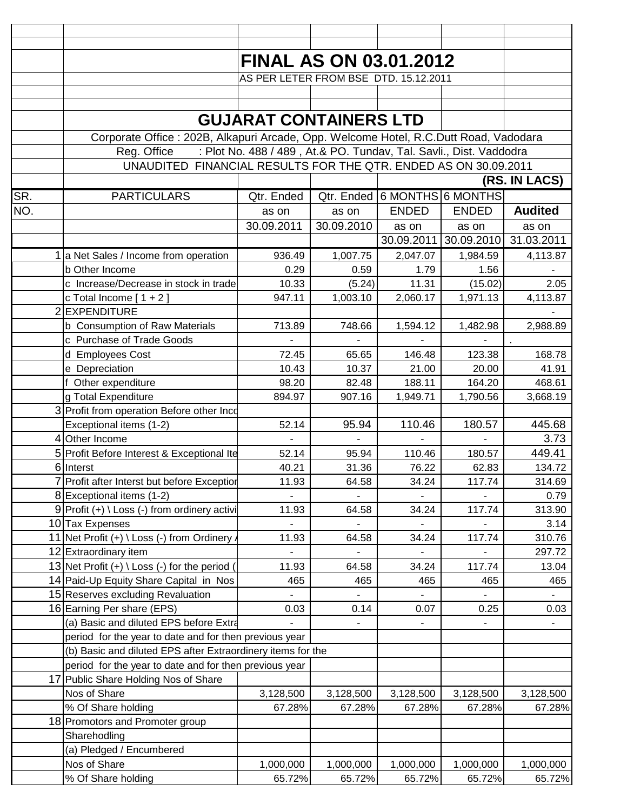|     |                                                                                                                                                      | <b>FINAL AS ON 03.01.2012</b>         |            |              |                                  |                |  |  |
|-----|------------------------------------------------------------------------------------------------------------------------------------------------------|---------------------------------------|------------|--------------|----------------------------------|----------------|--|--|
|     |                                                                                                                                                      | AS PER LETER FROM BSE DTD. 15.12.2011 |            |              |                                  |                |  |  |
|     |                                                                                                                                                      |                                       |            |              |                                  |                |  |  |
|     |                                                                                                                                                      |                                       |            |              |                                  |                |  |  |
|     |                                                                                                                                                      | <b>GUJARAT CONTAINERS LTD</b>         |            |              |                                  |                |  |  |
|     | Corporate Office: 202B, Alkapuri Arcade, Opp. Welcome Hotel, R.C.Dutt Road, Vadodara                                                                 |                                       |            |              |                                  |                |  |  |
|     |                                                                                                                                                      |                                       |            |              |                                  |                |  |  |
|     | : Plot No. 488 / 489, At.& PO. Tundav, Tal. Savli., Dist. Vaddodra<br>Reg. Office<br>UNAUDITED FINANCIAL RESULTS FOR THE QTR. ENDED AS ON 30.09.2011 |                                       |            |              |                                  |                |  |  |
|     | (RS. IN LACS)                                                                                                                                        |                                       |            |              |                                  |                |  |  |
|     |                                                                                                                                                      |                                       |            |              |                                  |                |  |  |
| SR. | <b>PARTICULARS</b>                                                                                                                                   | Qtr. Ended                            | Qtr. Ended |              | 6 MONTHS 6 MONTHS                |                |  |  |
| NO. |                                                                                                                                                      | as on                                 | as on      | <b>ENDED</b> | <b>ENDED</b>                     | <b>Audited</b> |  |  |
|     |                                                                                                                                                      | 30.09.2011                            | 30.09.2010 | as on        | as on                            | as on          |  |  |
|     |                                                                                                                                                      |                                       |            |              | 30.09.2011 30.09.2010 31.03.2011 |                |  |  |
|     | 1 a Net Sales / Income from operation                                                                                                                | 936.49                                | 1,007.75   | 2,047.07     | 1,984.59                         | 4,113.87       |  |  |
|     | b Other Income                                                                                                                                       | 0.29                                  | 0.59       | 1.79         | 1.56                             |                |  |  |
|     | c Increase/Decrease in stock in trade                                                                                                                | 10.33                                 | (5.24)     | 11.31        | (15.02)                          | 2.05           |  |  |
|     | c Total Income $[1 + 2]$                                                                                                                             | 947.11                                | 1,003.10   | 2,060.17     | 1,971.13                         | 4,113.87       |  |  |
|     | 2 EXPENDITURE                                                                                                                                        |                                       |            |              |                                  |                |  |  |
|     | b Consumption of Raw Materials                                                                                                                       | 713.89                                | 748.66     | 1,594.12     | 1,482.98                         | 2,988.89       |  |  |
|     | c Purchase of Trade Goods                                                                                                                            |                                       |            |              |                                  |                |  |  |
|     | d Employees Cost                                                                                                                                     | 72.45                                 | 65.65      | 146.48       | 123.38                           | 168.78         |  |  |
|     | e Depreciation                                                                                                                                       | 10.43                                 | 10.37      | 21.00        | 20.00                            | 41.91          |  |  |
|     | f Other expenditure                                                                                                                                  | 98.20                                 | 82.48      | 188.11       | 164.20                           | 468.61         |  |  |
|     | g Total Expenditure                                                                                                                                  | 894.97                                | 907.16     | 1,949.71     | 1,790.56                         | 3,668.19       |  |  |
|     | 3 Profit from operation Before other Inco                                                                                                            |                                       |            |              |                                  |                |  |  |
|     | Exceptional items (1-2)                                                                                                                              | 52.14                                 | 95.94      | 110.46       | 180.57                           | 445.68         |  |  |
|     | 4 Other Income                                                                                                                                       |                                       |            |              |                                  | 3.73           |  |  |
|     | 5 Profit Before Interest & Exceptional Ite                                                                                                           | 52.14                                 | 95.94      | 110.46       | 180.57                           | 449.41         |  |  |
|     | 6 Interst                                                                                                                                            | 40.21                                 | 31.36      | 76.22        | 62.83                            | 134.72         |  |  |
|     | 7 Profit after Interst but before Exception                                                                                                          | 11.93                                 | 64.58      | 34.24        | 117.74                           | 314.69         |  |  |
|     | 8 Exceptional items (1-2)                                                                                                                            |                                       |            |              |                                  | 0.79           |  |  |
|     | $9$ Profit (+) \ Loss (-) from ordinery activi                                                                                                       | 11.93                                 | 64.58      | 34.24        | 117.74                           | 313.90         |  |  |
|     | 10 Tax Expenses                                                                                                                                      |                                       |            |              |                                  | 3.14           |  |  |
|     | 11 Net Profit (+) \ Loss (-) from Ordinery.                                                                                                          | 11.93                                 | 64.58      | 34.24        | 117.74                           | 310.76         |  |  |
|     | 12 Extraordinary item                                                                                                                                |                                       |            |              |                                  | 297.72         |  |  |
|     | 13 Net Profit $(+) \setminus$ Loss $(-)$ for the period (                                                                                            | 11.93                                 | 64.58      | 34.24        | 117.74                           | 13.04          |  |  |
|     | 14 Paid-Up Equity Share Capital in Nos                                                                                                               | 465                                   | 465        | 465          | 465                              | 465            |  |  |
|     | 15 Reserves excluding Revaluation                                                                                                                    |                                       |            |              |                                  |                |  |  |
|     | 16 Earning Per share (EPS)                                                                                                                           | 0.03                                  | 0.14       | 0.07         | 0.25                             | 0.03           |  |  |
|     | (a) Basic and diluted EPS before Extra                                                                                                               |                                       |            |              |                                  |                |  |  |
|     | period for the year to date and for then previous year                                                                                               |                                       |            |              |                                  |                |  |  |
|     | (b) Basic and diluted EPS after Extraordinery items for the                                                                                          |                                       |            |              |                                  |                |  |  |
|     | period for the year to date and for then previous year                                                                                               |                                       |            |              |                                  |                |  |  |
|     | 17 Public Share Holding Nos of Share<br>Nos of Share                                                                                                 |                                       | 3,128,500  |              |                                  |                |  |  |
|     |                                                                                                                                                      | 3,128,500                             |            | 3,128,500    | 3,128,500                        | 3,128,500      |  |  |
|     | % Of Share holding                                                                                                                                   | 67.28%                                | 67.28%     | 67.28%       | 67.28%                           | 67.28%         |  |  |
|     | 18 Promotors and Promoter group                                                                                                                      |                                       |            |              |                                  |                |  |  |
|     | Sharehodling                                                                                                                                         |                                       |            |              |                                  |                |  |  |
|     | (a) Pledged / Encumbered<br>Nos of Share                                                                                                             | 1,000,000                             | 1,000,000  | 1,000,000    | 1,000,000                        | 1,000,000      |  |  |
|     | % Of Share holding                                                                                                                                   | 65.72%                                | 65.72%     | 65.72%       | 65.72%                           | 65.72%         |  |  |
|     |                                                                                                                                                      |                                       |            |              |                                  |                |  |  |